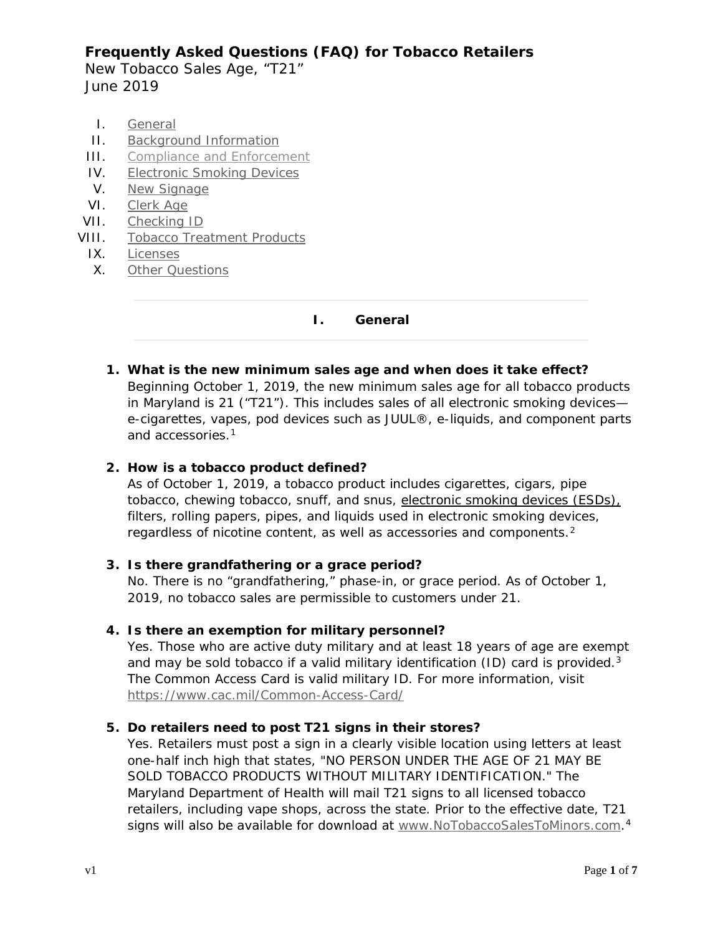New Tobacco Sales Age, "T21" June 2019

- <span id="page-0-0"></span>I. [General](#page-0-0)
- II. [Background Information](#page-1-0)
- III. [Compliance and Enforcement](#page-1-1)
- IV. [Electronic Smoking Devices](#page-2-0)
- V. [New Signage](#page-3-0)
- VI. [Clerk Age](#page-4-0)
- VII. [Checking ID](#page-4-1)
- VIII. [Tobacco Treatment Products](#page-4-2)
	- IX. [Licenses](#page-5-0)
	- X. [Other Questions](#page-5-1)

**I. General**

**1. What is the new minimum sales age and when does it take effect?**

Beginning October 1, 2019, the new minimum sales age for all tobacco products in Maryland is 21 ("T21"). This includes sales of all electronic smoking devices e-cigarettes, vapes, pod devices such as JUUL®, e-liquids, and component parts and accessories[.1](#page-6-0)

## **2. How is a tobacco product defined?**

As of October 1, 2019, a tobacco product includes cigarettes, cigars, pipe tobacco, chewing tobacco, snuff, and snus, electronic smoking devices (ESDs), filters, rolling papers, pipes, and liquids used in electronic smoking devices, regardless of nicotine content, as well as accessories and components.<sup>[2](#page-6-1)</sup>

### **3. Is there grandfathering or a grace period?**

No. There is no "grandfathering," phase-in, or grace period. As of October 1, 2019, no tobacco sales are permissible to customers under 21.

### **4. Is there an exemption for military personnel?**

Yes. Those who are active duty military and at least 18 years of age are exempt and may be sold tobacco if a valid military identification (ID) card is provided. $3$ The Common Access Card is valid military ID. For more information, visit <https://www.cac.mil/Common-Access-Card/>

### **5. Do retailers need to post T21 signs in their stores?**

Yes. Retailers must post a sign in a clearly visible location using letters at least one-half inch high that states, "NO PERSON UNDER THE AGE OF 21 MAY BE SOLD TOBACCO PRODUCTS WITHOUT MILITARY IDENTIFICATION." The Maryland Department of Health will mail T21 signs to all licensed tobacco retailers, including vape shops, across the state. Prior to the effective date, T21 signs will also be available for download at [www.NoTobaccoSalesToMinors.com.](http://www.notobaccosalestominors.com/)<sup>[4](#page-6-3)</sup>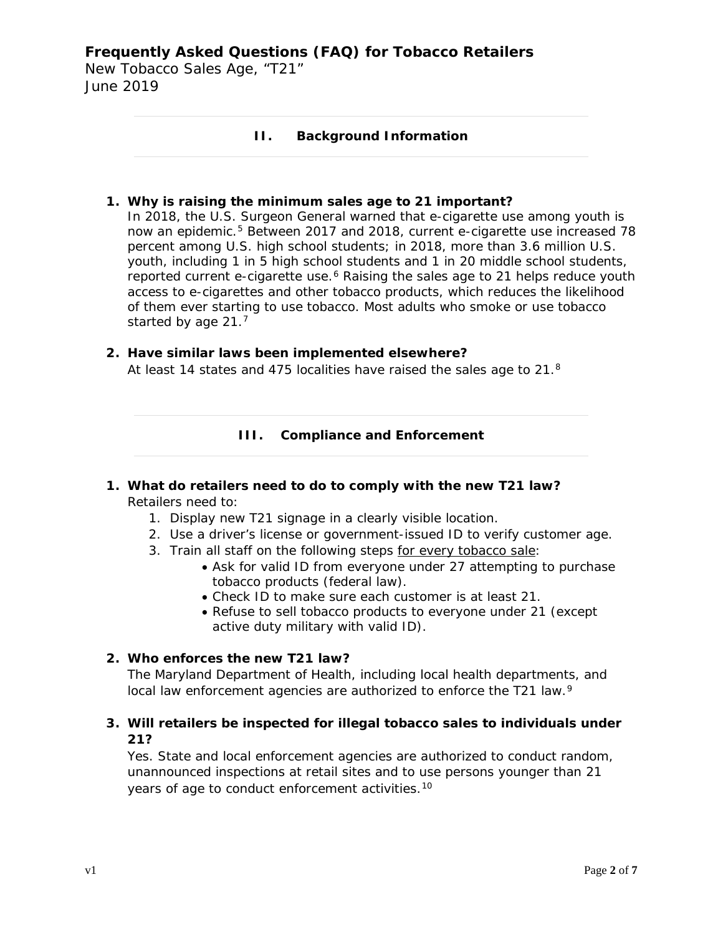<span id="page-1-0"></span>New Tobacco Sales Age, "T21" June 2019

### **II. Background Information**

#### **1. Why is raising the minimum sales age to 21 important?**

In 2018, the U.S. Surgeon General warned that e-cigarette use among youth is now an epidemic.[5](#page-6-4) Between 2017 and 2018, current e-cigarette use increased 78 percent among U.S. high school students; in 2018, more than 3.6 million U.S. youth, including 1 in 5 high school students and 1 in 20 middle school students, reported current e-cigarette use.<sup>6</sup> Raising the sales age to 21 helps reduce youth access to e-cigarettes and other tobacco products, which reduces the likelihood of them ever starting to use tobacco. Most adults who smoke or use tobacco started by age 21.[7](#page-6-6)

#### <span id="page-1-1"></span>**2. Have similar laws been implemented elsewhere?**

At least 14 states and 475 localities have raised the sales age to 21.[8](#page-6-7)

#### **III. Compliance and Enforcement**

### **1. What do retailers need to do to comply with the new T21 law?** Retailers need to:

- 1. Display new T21 signage in a clearly visible location.
- 2. Use a driver's license or government-issued ID to verify customer age.
- 3. Train all staff on the following steps for every tobacco sale:
	- Ask for valid ID from everyone under 27 attempting to purchase tobacco products (federal law).
	- Check ID to make sure each customer is at least 21.
	- Refuse to sell tobacco products to everyone under 21 (except active duty military with valid ID).

#### **2. Who enforces the new T21 law?**

The Maryland Department of Health, including local health departments, and local law enforcement agencies are authorized to enforce the T21 law.<sup>[9](#page-6-8)</sup>

### **3. Will retailers be inspected for illegal tobacco sales to individuals under 21?**

Yes. State and local enforcement agencies are authorized to conduct random, unannounced inspections at retail sites and to use persons younger than 21 years of age to conduct enforcement activities.<sup>[10](#page-6-9)</sup>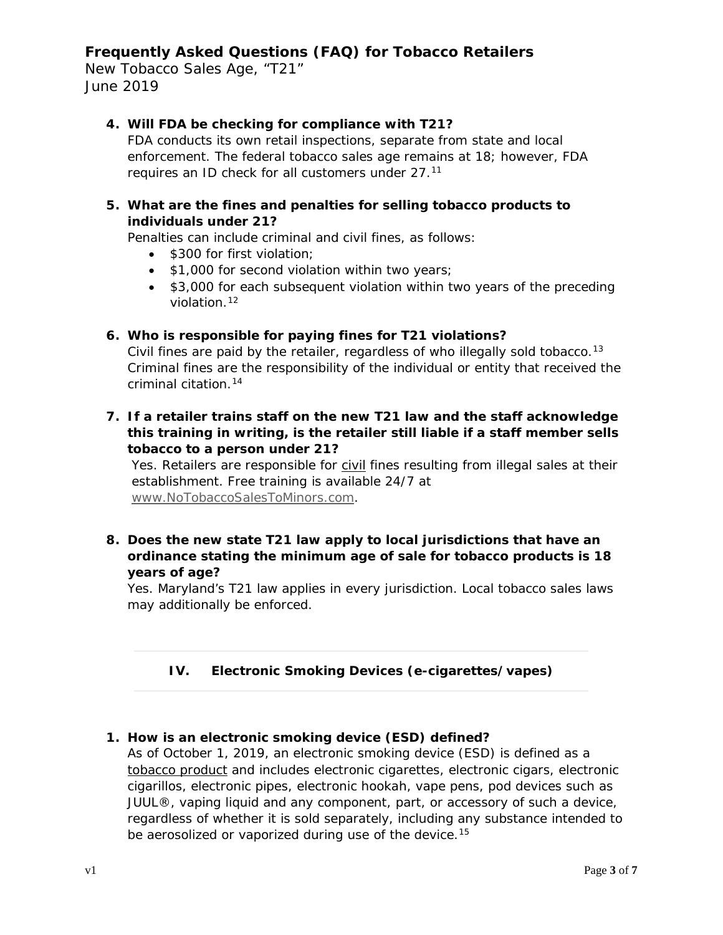New Tobacco Sales Age, "T21" June 2019

## **4. Will FDA be checking for compliance with T21?**

FDA conducts its own retail inspections, separate from state and local enforcement. The federal tobacco sales age remains at 18; however, FDA requires an ID check for all customers under 27[.11](#page-6-10)

## **5. What are the fines and penalties for selling tobacco products to individuals under 21?**

Penalties can include criminal and civil fines, as follows:

- \$300 for first violation;
- \$1,000 for second violation within two years;
- \$3,000 for each subsequent violation within two years of the preceding violation.[12](#page-6-11)

#### **6. Who is responsible for paying fines for T21 violations?**

Civil fines are paid by the retailer, regardless of who illegally sold tobacco.<sup>[13](#page-6-12)</sup> Criminal fines are the responsibility of the individual or entity that received the criminal citation.[14](#page-6-13)

**7. If a retailer trains staff on the new T21 law and the staff acknowledge this training in writing, is the retailer still liable if a staff member sells tobacco to a person under 21?** 

Yes. Retailers are responsible for civil fines resulting from illegal sales at their establishment. Free training is available 24/7 at [www.NoTobaccoSalesToMinors.com.](http://www.notobaccosalestominors.com/)

**8. Does the new state T21 law apply to local jurisdictions that have an ordinance stating the minimum age of sale for tobacco products is 18 years of age?**

<span id="page-2-0"></span>Yes. Maryland's T21 law applies in every jurisdiction. Local tobacco sales laws may additionally be enforced.

## **IV. Electronic Smoking Devices (e-cigarettes/vapes)**

### **1. How is an electronic smoking device (ESD) defined?**

As of October 1, 2019, an electronic smoking device (ESD) is defined as a tobacco product and includes electronic cigarettes, electronic cigars, electronic cigarillos, electronic pipes, electronic hookah, vape pens, pod devices such as JUUL®, vaping liquid and any component, part, or accessory of such a device, regardless of whether it is sold separately, including any substance intended to be aerosolized or vaporized during use of the device.<sup>[15](#page-6-14)</sup>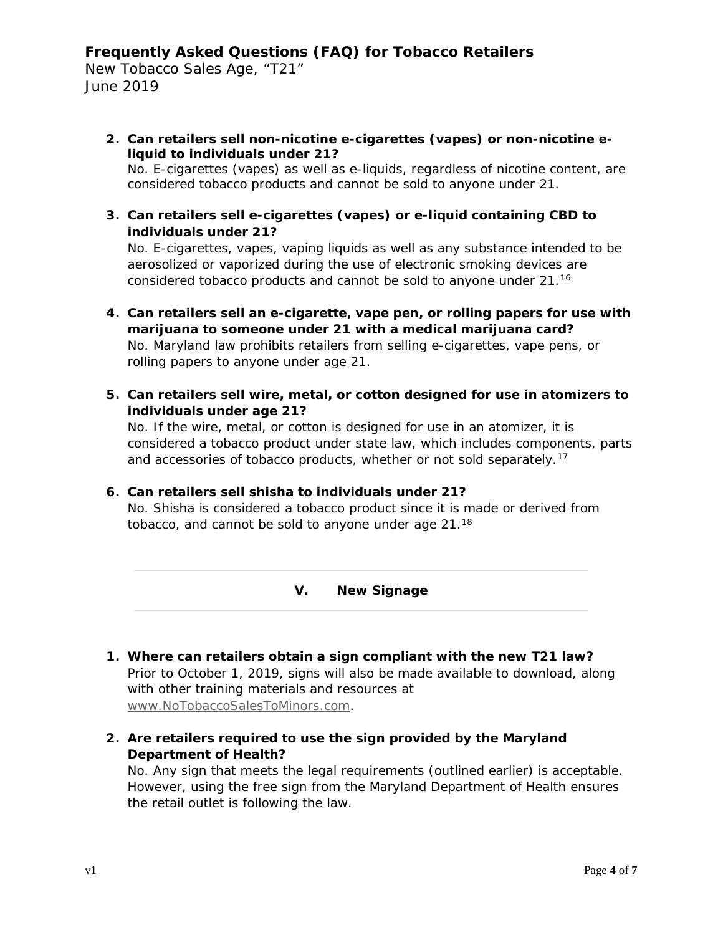New Tobacco Sales Age, "T21" June 2019

**2. Can retailers sell non-nicotine e-cigarettes (vapes) or non-nicotine eliquid to individuals under 21?**

No. E-cigarettes (vapes) as well as e-liquids, regardless of nicotine content, are considered tobacco products and cannot be sold to anyone under 21.

**3. Can retailers sell e-cigarettes (vapes) or e-liquid containing CBD to individuals under 21?**

No. E-cigarettes, vapes, vaping liquids as well as any substance intended to be aerosolized or vaporized during the use of electronic smoking devices are considered tobacco products and cannot be sold to anyone under 21.[16](#page-6-15)

- **4. Can retailers sell an e-cigarette, vape pen, or rolling papers for use with marijuana to someone under 21 with a medical marijuana card?** No. Maryland law prohibits retailers from selling e-cigarettes, vape pens, or rolling papers to anyone under age 21.
- **5. Can retailers sell wire, metal, or cotton designed for use in atomizers to individuals under age 21?**

No. If the wire, metal, or cotton is designed for use in an atomizer, it is considered a tobacco product under state law, which includes components, parts and accessories of tobacco products, whether or not sold separately.<sup>[17](#page-6-16)</sup>

### **6. Can retailers sell shisha to individuals under 21?**

<span id="page-3-0"></span>No. Shisha is considered a tobacco product since it is made or derived from tobacco, and cannot be sold to anyone under age 21.[18](#page-6-17)

**V. New Signage**

- **1. Where can retailers obtain a sign compliant with the new T21 law?** Prior to October 1, 2019, signs will also be made available to download, along with other training materials and resources at [www.NoTobaccoSalesToMinors.com.](http://www.notobaccosalestominors.com/)
- **2. Are retailers required to use the sign provided by the Maryland Department of Health?**

No. Any sign that meets the legal requirements (outlined earlier) is acceptable. However, using the free sign from the Maryland Department of Health ensures the retail outlet is following the law.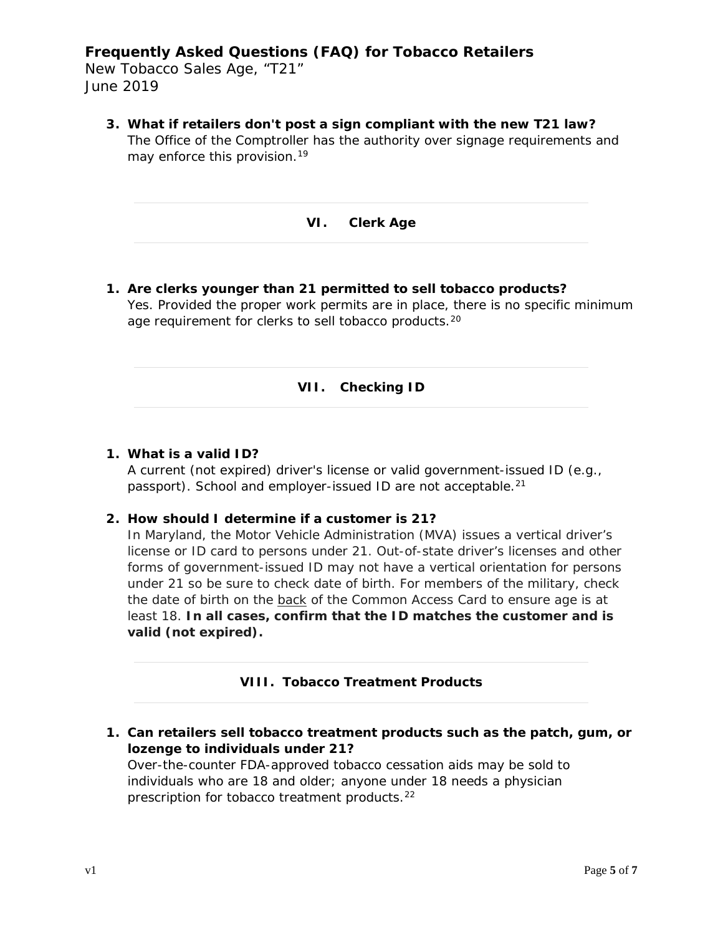New Tobacco Sales Age, "T21" June 2019

<span id="page-4-0"></span>**3. What if retailers don't post a sign compliant with the new T21 law?** The Office of the Comptroller has the authority over signage requirements and may enforce this provision.<sup>[19](#page-6-18)</sup>

**VI. Clerk Age**

<span id="page-4-1"></span>**1. Are clerks younger than 21 permitted to sell tobacco products?** Yes. Provided the proper work permits are in place, there is no specific minimum age requirement for clerks to sell tobacco products.[20](#page-6-19)

#### **VII. Checking ID**

#### **1. What is a valid ID?**

A current (not expired) driver's license or valid government-issued ID (e.g., passport). School and employer-issued ID are not acceptable.<sup>[21](#page-6-20)</sup>

#### **2. How should I determine if a customer is 21?**

In Maryland, the Motor Vehicle Administration (MVA) issues a vertical driver's license or ID card to persons under 21. Out-of-state driver's licenses and other forms of government-issued ID may not have a vertical orientation for persons under 21 so be sure to check date of birth. For members of the military, check the date of birth on the back of the Common Access Card to ensure age is at least 18. **In all cases, confirm that the ID matches the customer and is valid (not expired).**

#### **VIII. Tobacco Treatment Products**

<span id="page-4-2"></span>**1. Can retailers sell tobacco treatment products such as the patch, gum, or lozenge to individuals under 21?**

Over-the-counter FDA-approved tobacco cessation aids may be sold to individuals who are 18 and older; anyone under 18 needs a physician prescription for tobacco treatment products.<sup>22</sup>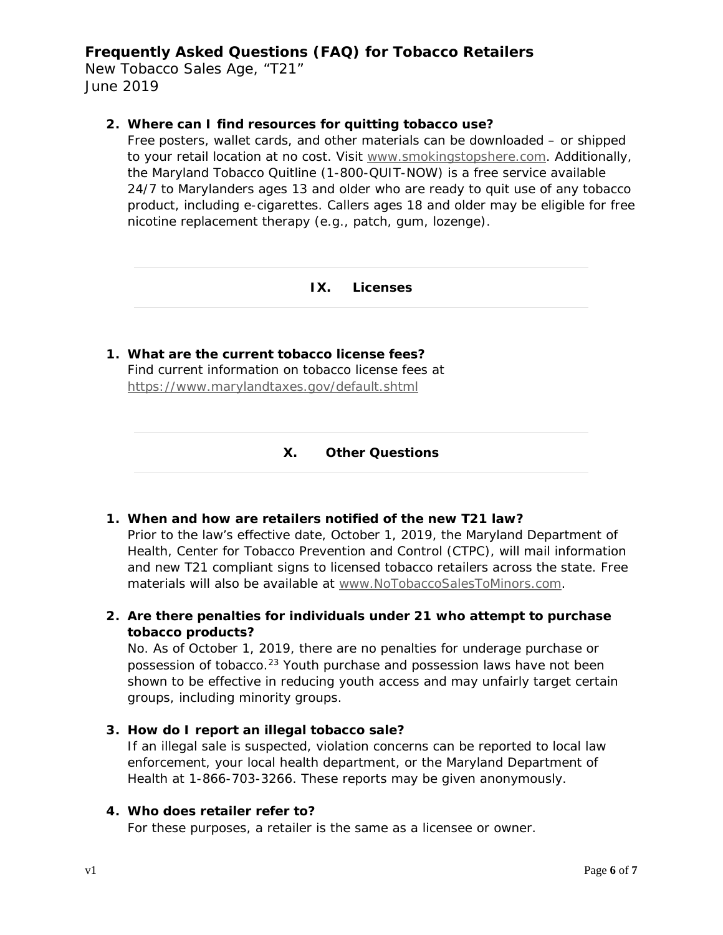New Tobacco Sales Age, "T21" June 2019

#### **2. Where can I find resources for quitting tobacco use?**

Free posters, wallet cards, and other materials can be downloaded – or shipped to your retail location at no cost. Visit [www.smokingstopshere.com.](http://www.smokingstopshere.com/) Additionally, the Maryland Tobacco Quitline (1-800-QUIT-NOW) is a free service available 24/7 to Marylanders ages 13 and older who are ready to quit use of any tobacco product, including e-cigarettes. Callers ages 18 and older may be eligible for free nicotine replacement therapy (e.g., patch, gum, lozenge).

#### **IX. Licenses**

<span id="page-5-1"></span><span id="page-5-0"></span>**1. What are the current tobacco license fees?** Find current information on tobacco license fees at <https://www.marylandtaxes.gov/default.shtml>

#### **X. Other Questions**

### **1. When and how are retailers notified of the new T21 law?**

Prior to the law's effective date, October 1, 2019, the Maryland Department of Health, Center for Tobacco Prevention and Control (CTPC), will mail information and new T21 compliant signs to licensed tobacco retailers across the state. Free materials will also be available at [www.NoTobaccoSalesToMinors.com.](http://www.notobaccosalestominors.com/)

### **2. Are there penalties for individuals under 21 who attempt to purchase tobacco products?**

No. As of October 1, 2019, there are no penalties for underage purchase or possession of tobacco[.23](#page-6-22) Youth purchase and possession laws have not been shown to be effective in reducing youth access and may unfairly target certain groups, including minority groups.

### **3. How do I report an illegal tobacco sale?**

If an illegal sale is suspected, violation concerns can be reported to local law enforcement, your local health department, or the Maryland Department of Health at 1-866-703-3266. These reports may be given anonymously.

### **4. Who does retailer refer to?**

For these purposes, a retailer is the same as a licensee or owner.